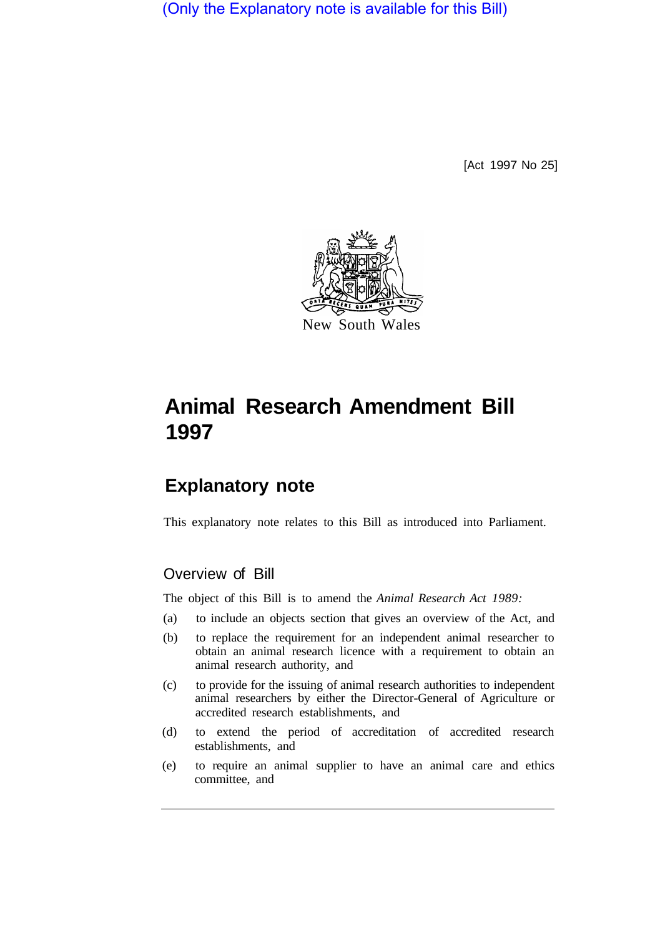(Only the Explanatory note is available for this Bill)

[Act 1997 No 25]



# **Animal Research Amendment Bill 1997**

## **Explanatory note**

This explanatory note relates to this Bill as introduced into Parliament.

## Overview of Bill

The object of this Bill is to amend the *Animal Research Act 1989:* 

- (a) to include an objects section that gives an overview of the Act, and
- (b) to replace the requirement for an independent animal researcher to obtain an animal research licence with a requirement to obtain an animal research authority, and
- (c) to provide for the issuing of animal research authorities to independent animal researchers by either the Director-General of Agriculture or accredited research establishments, and
- (d) to extend the period of accreditation of accredited research establishments, and
- (e) to require an animal supplier to have an animal care and ethics committee, and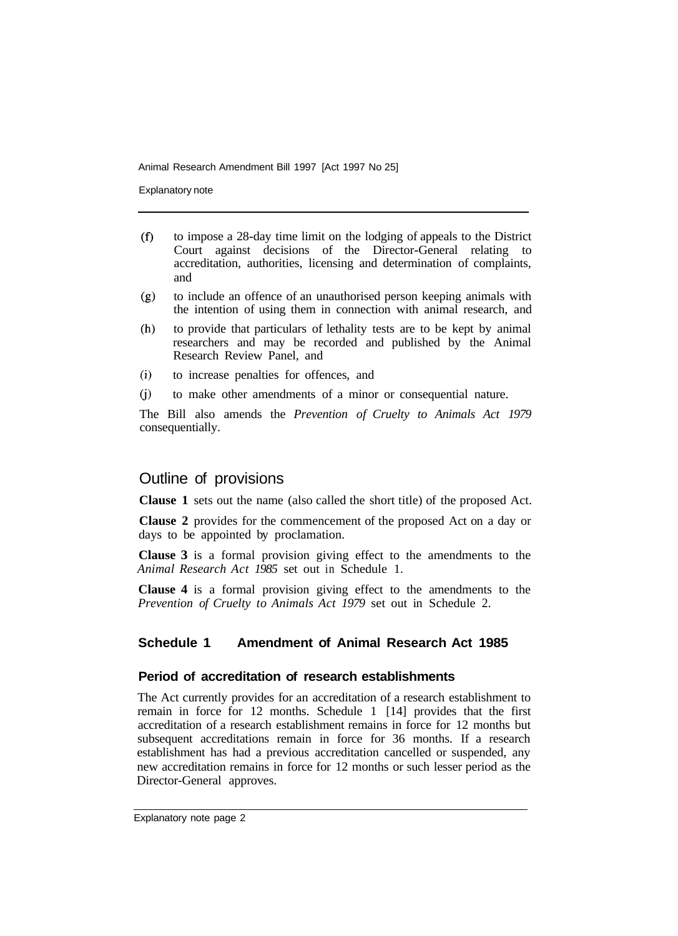Explanatory note

- $(f)$ to impose a 28-day time limit on the lodging of appeals to the District Court against decisions of the Director-General relating to accreditation, authorities, licensing and determination of complaints, and
- to include an offence of an unauthorised person keeping animals with  $(g)$ the intention of using them in connection with animal research, and
- to provide that particulars of lethality tests are to be kept by animal  $(h)$ researchers and may be recorded and published by the Animal Research Review Panel, and
- $(i)$ to increase penalties for offences, and
- $(i)$ to make other amendments of a minor or consequential nature.

The Bill also amends the *Prevention of Cruelty to Animals Act 1979*  consequentially.

## Outline of provisions

**Clause 1** sets out the name (also called the short title) of the proposed Act.

**Clause 2** provides for the commencement of the proposed Act on a day or days to be appointed by proclamation.

**Clause 3** is a formal provision giving effect to the amendments to the *Animal Research Act 1985* set out in Schedule 1.

**Clause 4** is a formal provision giving effect to the amendments to the *Prevention of Cruelty to Animals Act 1979* set out in Schedule 2.

## **Schedule 1 Amendment of Animal Research Act 1985**

#### **Period of accreditation of research establishments**

The Act currently provides for an accreditation of a research establishment to remain in force for 12 months. Schedule 1 [14] provides that the first accreditation of a research establishment remains in force for 12 months but subsequent accreditations remain in force for 36 months. If a research establishment has had a previous accreditation cancelled or suspended, any new accreditation remains in force for 12 months or such lesser period as the Director-General approves.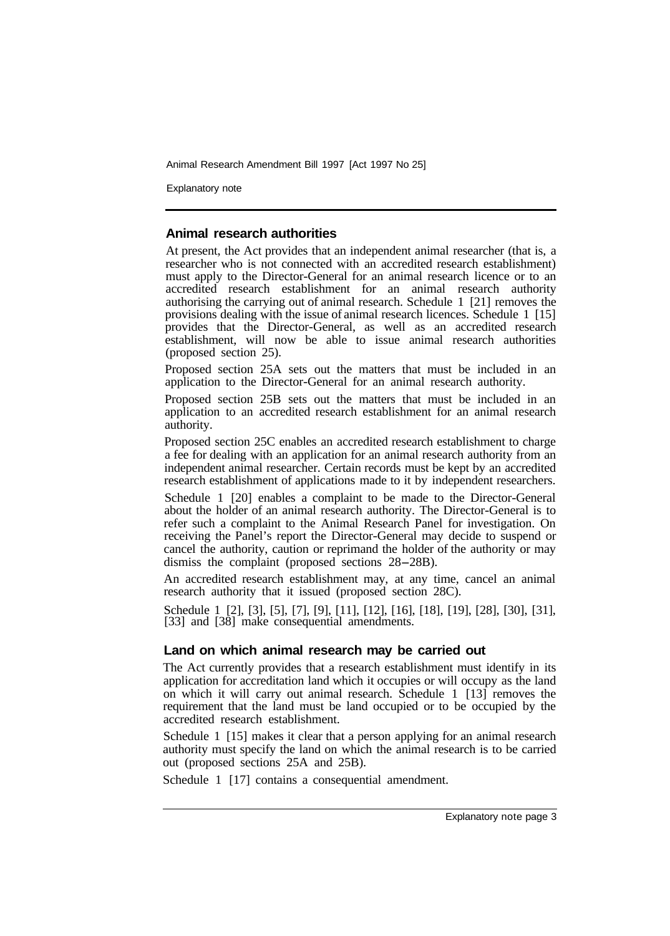Explanatory note

#### **Animal research authorities**

At present, the Act provides that an independent animal researcher (that is, a researcher who is not connected with an accredited research establishment) must apply to the Director-General for an animal research licence or to an accredited research establishment for an animal research authority authorising the carrying out of animal research. Schedule 1 [21] removes the provisions dealing with the issue of animal research licences. Schedule 1 [15] provides that the Director-General, as well as an accredited research establishment, will now be able to issue animal research authorities (proposed section 25).

Proposed section 25A sets out the matters that must be included in an application to the Director-General for an animal research authority.

Proposed section 25B sets out the matters that must be included in an application to an accredited research establishment for an animal research authority.

Proposed section 25C enables an accredited research establishment to charge a fee for dealing with an application for an animal research authority from an independent animal researcher. Certain records must be kept by an accredited research establishment of applications made to it by independent researchers.

Schedule 1 [20] enables a complaint to be made to the Director-General about the holder of an animal research authority. The Director-General is to refer such a complaint to the Animal Research Panel for investigation. On receiving the Panel's report the Director-General may decide to suspend or cancel the authority, caution or reprimand the holder of the authority or may dismiss the complaint (proposed sections 28-28B).

An accredited research establishment may, at any time, cancel an animal research authority that it issued (proposed section 28C).

Schedule 1 [2], [3], [5], [7], [9], [11], [12], [16], [18], [19], [28], [30], [31], [33] and [38] make consequential amendments.

#### **Land on which animal research may be carried out**

The Act currently provides that a research establishment must identify in its application for accreditation land which it occupies or will occupy as the land on which it will carry out animal research. Schedule 1 [13] removes the requirement that the land must be land occupied or to be occupied by the accredited research establishment.

Schedule 1 [15] makes it clear that a person applying for an animal research authority must specify the land on which the animal research is to be carried out (proposed sections 25A and 25B).

Schedule 1 [17] contains a consequential amendment.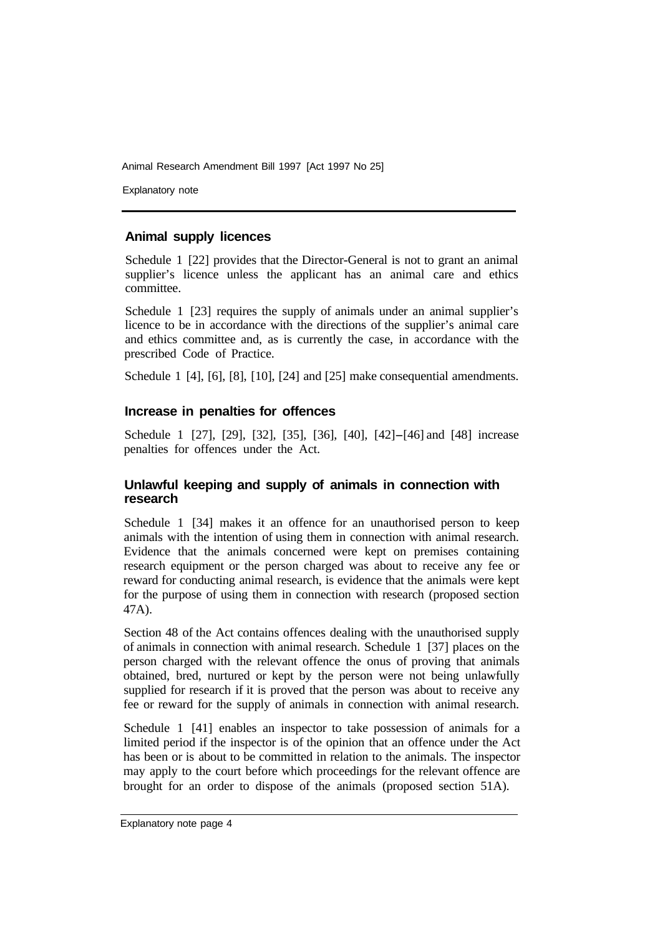Explanatory note

## **Animal supply licences**

Schedule 1 [22] provides that the Director-General is not to grant an animal supplier's licence unless the applicant has an animal care and ethics committee.

Schedule 1 [23] requires the supply of animals under an animal supplier's licence to be in accordance with the directions of the supplier's animal care and ethics committee and, as is currently the case, in accordance with the prescribed Code of Practice.

Schedule 1 [4], [6], [8], [10], [24] and [25] make consequential amendments.

## **Increase in penalties for offences**

Schedule 1 [27], [29], [32], [35], [36], [40], [42]-[46] and [48] increase penalties for offences under the Act.

## **Unlawful keeping and supply of animals in connection with research**

Schedule 1 [34] makes it an offence for an unauthorised person to keep animals with the intention of using them in connection with animal research. Evidence that the animals concerned were kept on premises containing research equipment or the person charged was about to receive any fee or reward for conducting animal research, is evidence that the animals were kept for the purpose of using them in connection with research (proposed section 47A).

Section 48 of the Act contains offences dealing with the unauthorised supply of animals in connection with animal research. Schedule 1 [37] places on the person charged with the relevant offence the onus of proving that animals obtained, bred, nurtured or kept by the person were not being unlawfully supplied for research if it is proved that the person was about to receive any fee or reward for the supply of animals in connection with animal research.

Schedule 1 [41] enables an inspector to take possession of animals for a limited period if the inspector is of the opinion that an offence under the Act has been or is about to be committed in relation to the animals. The inspector may apply to the court before which proceedings for the relevant offence are brought for an order to dispose of the animals (proposed section 51A).